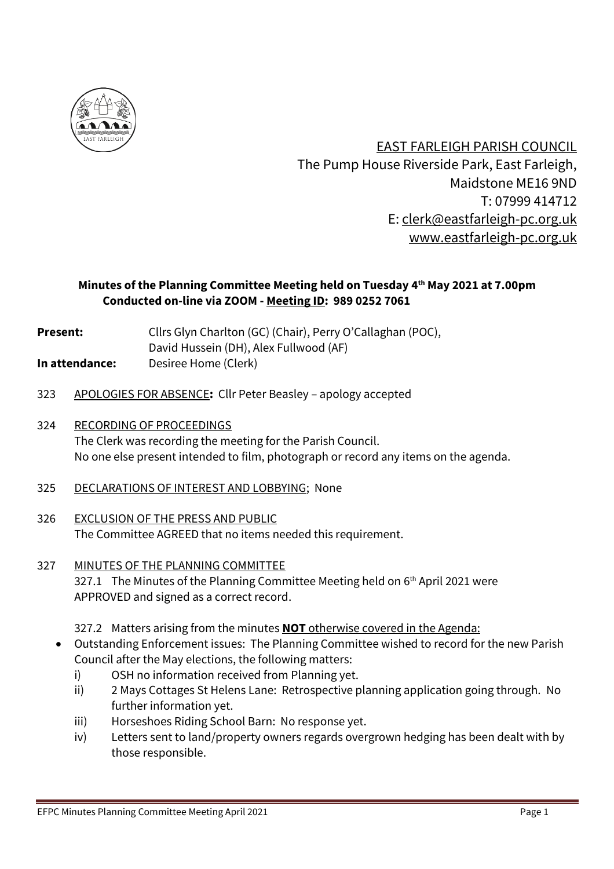

 EAST FARLEIGH PARISH COUNCIL The Pump House Riverside Park, East Farleigh, Maidstone ME16 9ND T: 07999 414712 E: [clerk@eastfarleigh-pc.org.uk](mailto:clerk@eastfarleigh-pc.org.uk) www.eastfarleigh-pc.org.uk

# **Minutes of the Planning Committee Meeting held on Tuesday 4 th May 2021 at 7.00pm Conducted on-line via ZOOM - Meeting ID: 989 0252 7061**

- **Present:** Cllrs Glyn Charlton (GC) (Chair), Perry O'Callaghan (POC),
- David Hussein (DH), Alex Fullwood (AF)
- **In attendance:** Desiree Home (Clerk)
- 323 APOLOGIES FOR ABSENCE**:** Cllr Peter Beasley apology accepted
- 324 RECORDING OF PROCEEDINGS The Clerk was recording the meeting for the Parish Council. No one else present intended to film, photograph or record any items on the agenda.
- 325 DECLARATIONS OF INTEREST AND LOBBYING; None
- 326 EXCLUSION OF THE PRESS AND PUBLIC The Committee AGREED that no items needed this requirement.
- 327 MINUTES OF THE PLANNING COMMITTEE 327.1 The Minutes of the Planning Committee Meeting held on 6<sup>th</sup> April 2021 were APPROVED and signed as a correct record.
	- 327.2 Matters arising from the minutes **NOT** otherwise covered in the Agenda:
	- Outstanding Enforcement issues: The Planning Committee wished to record for the new Parish Council after the May elections, the following matters:
		- i) OSH no information received from Planning yet.
		- ii) 2 Mays Cottages St Helens Lane: Retrospective planning application going through. No further information yet.
		- iii) Horseshoes Riding School Barn: No response yet.
		- iv) Letters sent to land/property owners regards overgrown hedging has been dealt with by those responsible.